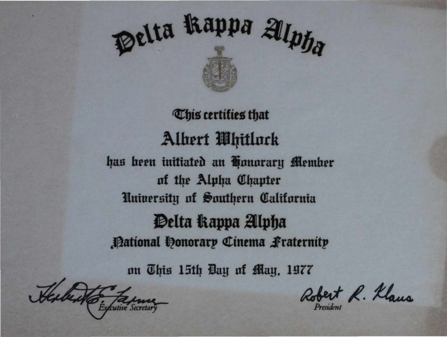

# **This certifies that** Albert Whitlock has been initiated an Honorary Member of the Alpha Chapter University of Southern California Delta Rappa Alpha **Pational Honorary Cinema Praternity**

nu This 15th Bay of May, 1977

Sextento. Ta

Robert R. Klaus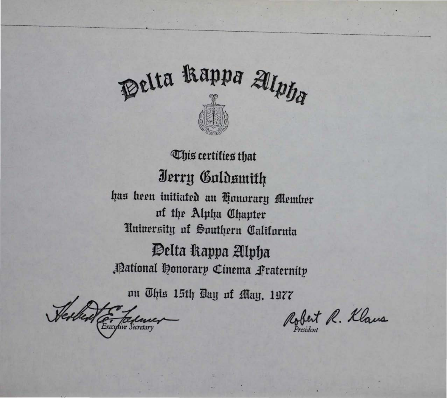

*Chis* certifies that Jerry Galdsmith has been initiated an Honorary Member of the Alpha Chapter University of Southern California Delta Rappa Alpha Pational Honorary Cinema Praternity

nn This 15th Day of May, 1977

Nerles E. Falancer

Robert R. Klaus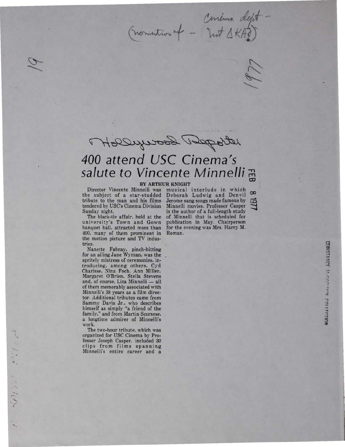Curius of - Certina deft<br>(nomention of - Inst AKA?)



## *400 attend USC Cinema's salute to Vincente Minnelli*

**BY ARTHUR KNIGHT**<br>Director Vincente Minnelli was musical the subject of a star-studded<br>tribute to the man and his films tribute to the man and his films Jerome sang songs made famous by tendered by USC's Cinema Division Minnelli movies. Professor Casper

The black-tie affair, held at the university's Town and Gown banquet hall, attracted more than for the evening was Mrs. Harry M. 400, many of them prominent in Roman. the motion picture and TV industries.

Nanette Fabray, pinch-hitting for an ailing Jane Wyman, was the spritely mistress of ceremonies, introducing, among others, Cyd Charisse, Nina Foch, Ann Miller, Margaret O'Brien, Stella Stevens and, of course, Liza Minnelli - all of them memorably associated with Minnelli's 38 years as a film director. Additional tributes came from Sammy Davis Jr., who describes himself as simply "a friend of the family," and from Martin Scorsese, a longtime admirer of Minnelli's work.

The two-hour tribute, which was organized for USC Cinema by Professor Joseph Casper. included 30 clips from films spanning Minnelli's entire career and a

 $54$ 

musical interlude in which<br>Deborah Ludwig and Denvil Minnelli movies. Professor Casper Sunday night. is the author of a full-length study<br>The black-tie affair, held at the of Minnelli that is scheduled for publication in May. Chairperson

 $\infty$  $\overline{\mathfrak{S}}$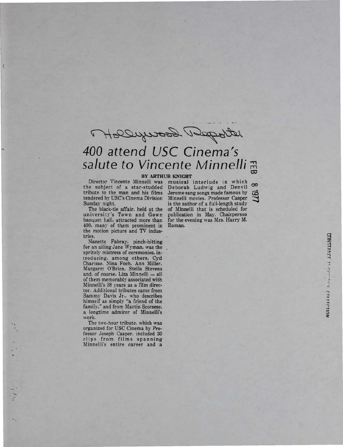Melberge George Deposit

### *400 attend USC Cinema's salute to Vincente Minnelli*

#### BY ARTHUR KNIGHT

Director Vincente Minnelli was musical interlude in which the subject of a star-studded tribute to the man and his films tendered by USC's Cinema Division Sunday night.

The black-tie affair. held at the university's Town and Gown banquet hall, attracted more than 400, many of them prominent in the motion picture and TV industries.

Nanette Fabray, pinch-hitting for an ailing Jane Wyman. was the spritely mistress of ceremonies. introducing, among others. Cyd Charisse. Nina Foch. Ann Miller. Margaret O'Brien. Stella Stevens and. of course. Liza Minnelli - all of them memorably associated with Minnelli's 38 years as a film director. Additional tributes came from Sammy Davis Jr., who describes himself as simply "a friend of the family," and from Martin Scorsese, a longtime admirer of Minnelli's work.

The two-hour tribute. which was organized for USC Cinema by Professor Joseph Casper. included 30 clips from films spanning Minnelli's entire career and a

-'

 $\overline{\mathcal{L}}$ 

Selection of the selection of the selection of the selection of the selection of the selection of the selection of the selection of the selection of the selection of the selection of the selection of the selection of the s

Deborah Ludwig and Denvil  $\infty$ <br>Jerome sang songs made famous by  $\overrightarrow{Q}$ <br>Minnelli movies. Professor Casper Jerome sang songs made famous by Minnelli movies. Professor Casper<br>is the author of a full-length study of Minnelli that is scheduled for publication in May. Chairperson for the evening was Mrs. Harry M. Roman.

CONSTANCE Morphistics COLLECTION